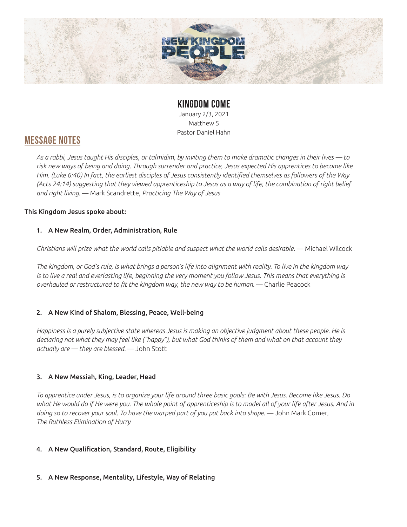

## **KINGDOM COME**

January 2/3, 2021 Matthew 5 Pastor Daniel Hahn

## **MESSAGE NOTES**

*As a rabbi, Jesus taught His disciples, or talmidim, by inviting them to make dramatic changes in their lives — to risk new ways of being and doing. Through surrender and practice, Jesus expected His apprentices to become like Him. (Luke 6:40) In fact, the earliest disciples of Jesus consistently identified themselves as followers of the Way (Acts 24:14) suggesting that they viewed apprenticeship to Jesus as a way of life, the combination of right belief and right living.* — Mark Scandrette, *Practicing The Way of Jesus*

## This Kingdom Jesus spoke about:

## 1. A New Realm, Order, Administration, Rule

*Christians will prize what the world calls pitiable and suspect what the world calls desirable.* — Michael Wilcock

*The kingdom, or God's rule, is what brings a person's life into alignment with reality. To live in the kingdom way is to live a real and everlasting life, beginning the very moment you follow Jesus. This means that everything is overhauled or restructured to fit the kingdom way, the new way to be human.* — Charlie Peacock

## 2. A New Kind of Shalom, Blessing, Peace, Well-being

*Happiness is a purely subjective state whereas Jesus is making an objective judgment about these people. He is declaring not what they may feel like ("happy"), but what God thinks of them and what on that account they actually are — they are blessed.* — John Stott

## 3. A New Messiah, King, Leader, Head

*To apprentice under Jesus, is to organize your life around three basic goals: Be with Jesus. Become like Jesus. Do what He would do if He were you. The whole point of apprenticeship is to model all of your life after Jesus. And in*  doing so to recover your soul. To have the warped part of you put back into shape. — John Mark Comer, *The Ruthless Elimination of Hurry*

## 4. A New Qualification, Standard, Route, Eligibility

## 5. A New Response, Mentality, Lifestyle, Way of Relating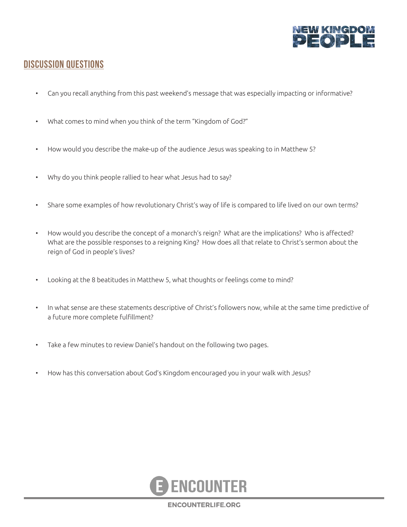

## **DISCUSSION QUESTIONS**

- Can you recall anything from this past weekend's message that was especially impacting or informative?
- What comes to mind when you think of the term "Kingdom of God?"
- How would you describe the make-up of the audience Jesus was speaking to in Matthew 5?
- Why do you think people rallied to hear what Jesus had to say?
- Share some examples of how revolutionary Christ's way of life is compared to life lived on our own terms?
- How would you describe the concept of a monarch's reign? What are the implications? Who is affected? What are the possible responses to a reigning King? How does all that relate to Christ's sermon about the reign of God in people's lives?
- Looking at the 8 beatitudes in Matthew 5, what thoughts or feelings come to mind?
- In what sense are these statements descriptive of Christ's followers now, while at the same time predictive of a future more complete fulfillment?
- Take a few minutes to review Daniel's handout on the following two pages.
- How has this conversation about God's Kingdom encouraged you in your walk with Jesus?



**ENCOUNTERLIFE.ORG**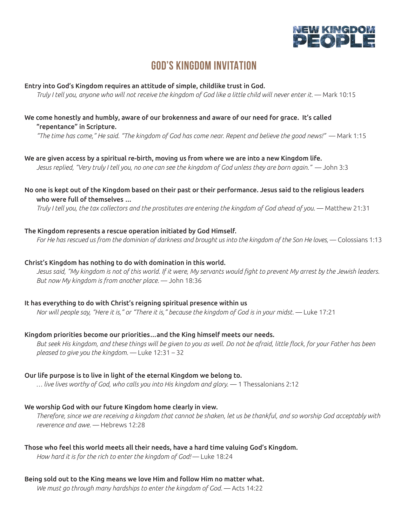

# **GOD'S KINGDOM INVITATION**

#### Entry into God's Kingdom requires an attitude of simple, childlike trust in God.

*Truly I tell you, anyone who will not receive the kingdom of God like a little child will never enter it.* — Mark 10:15

### We come honestly and humbly, aware of our brokenness and aware of our need for grace. It's called "repentance" in Scripture.

*"The time has come," He said. "The kingdom of God has come near. Repent and believe the good news!"* — Mark 1:15

We are given access by a spiritual re-birth, moving us from where we are into a new Kingdom life. *Jesus replied, "Very truly I tell you, no one can see the kingdom of God unless they are born again."* — John 3:3

No one is kept out of the Kingdom based on their past or their performance. Jesus said to the religious leaders who were full of themselves …

*Truly I tell you, the tax collectors and the prostitutes are entering the kingdom of God ahead of you.* — Matthew 21:31

#### The Kingdom represents a rescue operation initiated by God Himself.

For He has rescued us from the dominion of darkness and brought us into the kingdom of the Son He loves, — Colossians 1:13

#### Christ's Kingdom has nothing to do with domination in this world.

*Jesus said, "My kingdom is not of this world. If it were, My servants would fight to prevent My arrest by the Jewish leaders. But now My kingdom is from another place.* — John 18:36

#### It has everything to do with Christ's reigning spiritual presence within us

*Nor will people say, "Here it is," or "There it is," because the kingdom of God is in your midst.* — Luke 17:21

#### Kingdom priorities become our priorities…and the King himself meets our needs.

*But seek His kingdom, and these things will be given to you as well. Do not be afraid, little flock, for your Father has been pleased to give you the kingdom.* — Luke 12:31 – 32

#### Our life purpose is to live in light of the eternal Kingdom we belong to.

*… live lives worthy of God, who calls you into His kingdom and glory.* — 1 Thessalonians 2:12

#### We worship God with our future Kingdom home clearly in view.

*Therefore, since we are receiving a kingdom that cannot be shaken, let us be thankful, and so worship God acceptably with reverence and awe.* — Hebrews 12:28

#### Those who feel this world meets all their needs, have a hard time valuing God's Kingdom.

*How hard it is for the rich to enter the kingdom of God!* — Luke 18:24

#### Being sold out to the King means we love Him and follow Him no matter what.

*We must go through many hardships to enter the kingdom of God.* — Acts 14:22